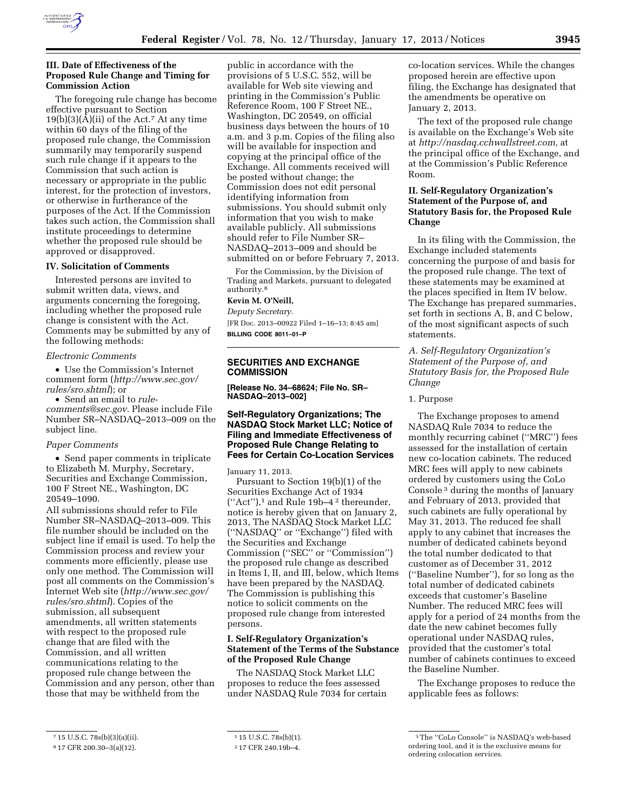

## **III. Date of Effectiveness of the Proposed Rule Change and Timing for Commission Action**

The foregoing rule change has become effective pursuant to Section  $19(b)(3)(A)(ii)$  of the Act.<sup>7</sup> At any time within 60 days of the filing of the proposed rule change, the Commission summarily may temporarily suspend such rule change if it appears to the Commission that such action is necessary or appropriate in the public interest, for the protection of investors, or otherwise in furtherance of the purposes of the Act. If the Commission takes such action, the Commission shall institute proceedings to determine whether the proposed rule should be approved or disapproved.

#### **IV. Solicitation of Comments**

Interested persons are invited to submit written data, views, and arguments concerning the foregoing, including whether the proposed rule change is consistent with the Act. Comments may be submitted by any of the following methods:

#### *Electronic Comments*

• Use the Commission's Internet comment form (*[http://www.sec.gov/](http://www.sec.gov/rules/sro.shtml)  [rules/sro.shtml](http://www.sec.gov/rules/sro.shtml)*); or

• Send an email to *[rule](mailto:rule-comments@sec.gov)[comments@sec.gov.](mailto:rule-comments@sec.gov)* Please include File Number SR–NASDAQ–2013–009 on the subject line.

#### *Paper Comments*

• Send paper comments in triplicate to Elizabeth M. Murphy, Secretary, Securities and Exchange Commission, 100 F Street NE., Washington, DC 20549–1090.

All submissions should refer to File Number SR–NASDAQ–2013–009. This file number should be included on the subject line if email is used. To help the Commission process and review your comments more efficiently, please use only one method. The Commission will post all comments on the Commission's Internet Web site (*[http://www.sec.gov/](http://www.sec.gov/rules/sro.shtml)  [rules/sro.shtml](http://www.sec.gov/rules/sro.shtml)*). Copies of the submission, all subsequent amendments, all written statements with respect to the proposed rule change that are filed with the Commission, and all written communications relating to the proposed rule change between the Commission and any person, other than those that may be withheld from the

public in accordance with the provisions of 5 U.S.C. 552, will be available for Web site viewing and printing in the Commission's Public Reference Room, 100 F Street NE., Washington, DC 20549, on official business days between the hours of 10 a.m. and 3 p.m. Copies of the filing also will be available for inspection and copying at the principal office of the Exchange. All comments received will be posted without change; the Commission does not edit personal identifying information from submissions. You should submit only information that you wish to make available publicly. All submissions should refer to File Number SR– NASDAQ–2013–009 and should be submitted on or before February 7, 2013.

For the Commission, by the Division of Trading and Markets, pursuant to delegated authority.8

## **Kevin M. O'Neill,**

*Deputy Secretary.* 

[FR Doc. 2013–00922 Filed 1–16–13; 8:45 am] **BILLING CODE 8011–01–P** 

# **SECURITIES AND EXCHANGE COMMISSION**

**[Release No. 34–68624; File No. SR– NASDAQ–2013–002]** 

## **Self-Regulatory Organizations; The NASDAQ Stock Market LLC; Notice of Filing and Immediate Effectiveness of Proposed Rule Change Relating to Fees for Certain Co-Location Services**

January 11, 2013.

Pursuant to Section 19(b)(1) of the Securities Exchange Act of 1934 (''Act''),1 and Rule 19b–4 2 thereunder, notice is hereby given that on January 2, 2013, The NASDAQ Stock Market LLC (''NASDAQ'' or ''Exchange'') filed with the Securities and Exchange Commission (''SEC'' or ''Commission'') the proposed rule change as described in Items I, II, and III, below, which Items have been prepared by the NASDAQ. The Commission is publishing this notice to solicit comments on the proposed rule change from interested persons.

## **I. Self-Regulatory Organization's Statement of the Terms of the Substance of the Proposed Rule Change**

The NASDAQ Stock Market LLC proposes to reduce the fees assessed under NASDAQ Rule 7034 for certain co-location services. While the changes proposed herein are effective upon filing, the Exchange has designated that the amendments be operative on January 2, 2013.

The text of the proposed rule change is available on the Exchange's Web site at *[http://nasdaq.cchwallstreet.com,](http://nasdaq.cchwallstreet.com)* at the principal office of the Exchange, and at the Commission's Public Reference Room.

## **II. Self-Regulatory Organization's Statement of the Purpose of, and Statutory Basis for, the Proposed Rule Change**

In its filing with the Commission, the Exchange included statements concerning the purpose of and basis for the proposed rule change. The text of these statements may be examined at the places specified in Item IV below. The Exchange has prepared summaries, set forth in sections A, B, and C below, of the most significant aspects of such statements.

## *A. Self-Regulatory Organization's Statement of the Purpose of, and Statutory Basis for, the Proposed Rule Change*

### 1. Purpose

The Exchange proposes to amend NASDAQ Rule 7034 to reduce the monthly recurring cabinet (''MRC'') fees assessed for the installation of certain new co-location cabinets. The reduced MRC fees will apply to new cabinets ordered by customers using the CoLo Console 3 during the months of January and February of 2013, provided that such cabinets are fully operational by May 31, 2013. The reduced fee shall apply to any cabinet that increases the number of dedicated cabinets beyond the total number dedicated to that customer as of December 31, 2012 (''Baseline Number''), for so long as the total number of dedicated cabinets exceeds that customer's Baseline Number. The reduced MRC fees will apply for a period of 24 months from the date the new cabinet becomes fully operational under NASDAQ rules, provided that the customer's total number of cabinets continues to exceed the Baseline Number.

The Exchange proposes to reduce the applicable fees as follows:

<sup>7</sup> 15 U.S.C. 78s(b)(3)(a)(ii).

<sup>8</sup> 17 CFR 200.30–3(a)(12).

<sup>1</sup> 15 U.S.C. 78s(b)(1).

<sup>2</sup> 17 CFR 240.19b–4.

<sup>3</sup>The ''CoLo Console'' is NASDAQ's web-based ordering tool, and it is the exclusive means for ordering colocation services.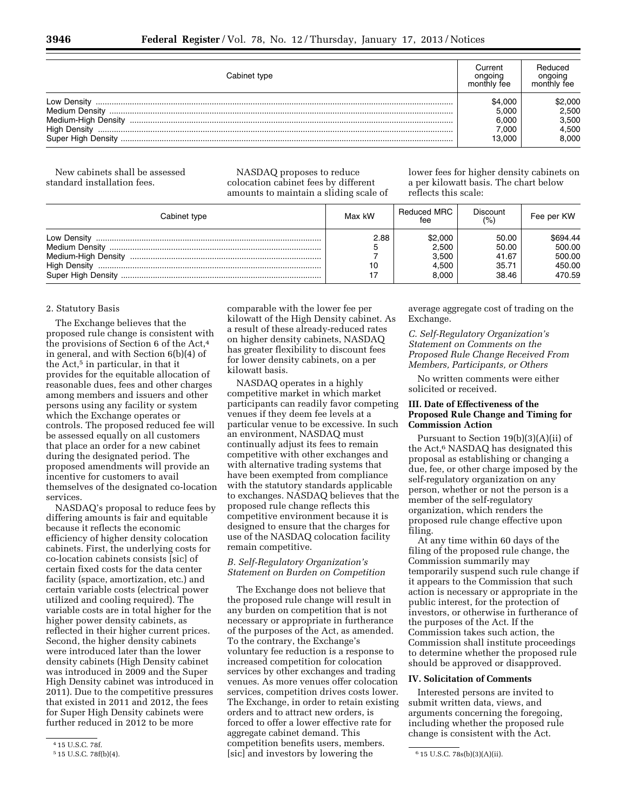| Cabinet type                                                     | Current<br>onaoina<br>monthly fee            | Reduced<br>ongoing<br>monthly fee           |
|------------------------------------------------------------------|----------------------------------------------|---------------------------------------------|
| Medium-High Density<br><b>High Density</b><br>Super High Density | \$4.000<br>5.000<br>6.000<br>7.000<br>13.000 | \$2,000<br>2.500<br>3.500<br>4.500<br>8.000 |

New cabinets shall be assessed standard installation fees.

NASDAQ proposes to reduce colocation cabinet fees by different amounts to maintain a sliding scale of lower fees for higher density cabinets on a per kilowatt basis. The chart below reflects this scale:

| Cabinet type        | Max kW | Reduced MRC<br>fee                          | Discount<br>(%)                           | Fee per KW                                       |
|---------------------|--------|---------------------------------------------|-------------------------------------------|--------------------------------------------------|
| <b>High Density</b> | 2.88   | \$2,000<br>2,500<br>3,500<br>4.500<br>8.000 | 50.00<br>50.00<br>41.67<br>35.71<br>38.46 | \$694.44<br>500.00<br>500.00<br>450.00<br>470.59 |

### 2. Statutory Basis

The Exchange believes that the proposed rule change is consistent with the provisions of Section 6 of the Act,4 in general, and with Section 6(b)(4) of the Act,<sup>5</sup> in particular, in that it provides for the equitable allocation of reasonable dues, fees and other charges among members and issuers and other persons using any facility or system which the Exchange operates or controls. The proposed reduced fee will be assessed equally on all customers that place an order for a new cabinet during the designated period. The proposed amendments will provide an incentive for customers to avail themselves of the designated co-location services.

NASDAQ's proposal to reduce fees by differing amounts is fair and equitable because it reflects the economic efficiency of higher density colocation cabinets. First, the underlying costs for co-location cabinets consists [sic] of certain fixed costs for the data center facility (space, amortization, etc.) and certain variable costs (electrical power utilized and cooling required). The variable costs are in total higher for the higher power density cabinets, as reflected in their higher current prices. Second, the higher density cabinets were introduced later than the lower density cabinets (High Density cabinet was introduced in 2009 and the Super High Density cabinet was introduced in 2011). Due to the competitive pressures that existed in 2011 and 2012, the fees for Super High Density cabinets were further reduced in 2012 to be more

comparable with the lower fee per kilowatt of the High Density cabinet. As a result of these already-reduced rates on higher density cabinets, NASDAQ has greater flexibility to discount fees for lower density cabinets, on a per kilowatt basis.

NASDAQ operates in a highly competitive market in which market participants can readily favor competing venues if they deem fee levels at a particular venue to be excessive. In such an environment, NASDAQ must continually adjust its fees to remain competitive with other exchanges and with alternative trading systems that have been exempted from compliance with the statutory standards applicable to exchanges. NASDAQ believes that the proposed rule change reflects this competitive environment because it is designed to ensure that the charges for use of the NASDAQ colocation facility remain competitive.

# *B. Self-Regulatory Organization's Statement on Burden on Competition*

5 15 U.S.C. 78f(b)(4). 6 15 U.S.C. 78s(b)(3)(A)(ii). [sic] and investors by lowering the The Exchange does not believe that the proposed rule change will result in any burden on competition that is not necessary or appropriate in furtherance of the purposes of the Act, as amended. To the contrary, the Exchange's voluntary fee reduction is a response to increased competition for colocation services by other exchanges and trading venues. As more venues offer colocation services, competition drives costs lower. The Exchange, in order to retain existing orders and to attract new orders, is forced to offer a lower effective rate for aggregate cabinet demand. This competition benefits users, members.

average aggregate cost of trading on the Exchange.

*C. Self-Regulatory Organization's Statement on Comments on the Proposed Rule Change Received From Members, Participants, or Others* 

No written comments were either solicited or received.

## **III. Date of Effectiveness of the Proposed Rule Change and Timing for Commission Action**

Pursuant to Section 19(b)(3)(A)(ii) of the Act,<sup>6</sup> NASDAQ has designated this proposal as establishing or changing a due, fee, or other charge imposed by the self-regulatory organization on any person, whether or not the person is a member of the self-regulatory organization, which renders the proposed rule change effective upon filing.

At any time within 60 days of the filing of the proposed rule change, the Commission summarily may temporarily suspend such rule change if it appears to the Commission that such action is necessary or appropriate in the public interest, for the protection of investors, or otherwise in furtherance of the purposes of the Act. If the Commission takes such action, the Commission shall institute proceedings to determine whether the proposed rule should be approved or disapproved.

### **IV. Solicitation of Comments**

Interested persons are invited to submit written data, views, and arguments concerning the foregoing, including whether the proposed rule change is consistent with the Act.

<sup>4 15</sup> U.S.C. 78f.<br>5 15 U.S.C. 78f(b)(4).